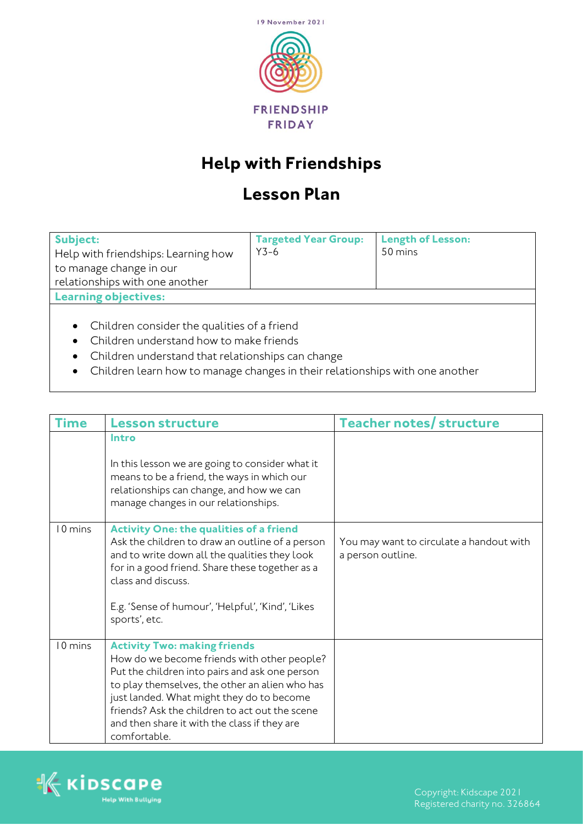

## **Help with Friendships**

## **Lesson Plan**

| Subject:                            | <b>Targeted Year Group:</b> | <b>Length of Lesson:</b> |
|-------------------------------------|-----------------------------|--------------------------|
| Help with friendships: Learning how | $Y3-6$                      | 50 mins                  |
| to manage change in our             |                             |                          |
| relationships with one another      |                             |                          |
| <b>Learning objectives:</b>         |                             |                          |
|                                     |                             |                          |

- Children consider the qualities of a friend
- Children understand how to make friends
- Children understand that relationships can change
- Children learn how to manage changes in their relationships with one another

| <b>Time</b> | <b>Lesson structure</b>                                                                                                                                                                                                                                                                                                                               | <b>Teacher notes/ structure</b>                               |
|-------------|-------------------------------------------------------------------------------------------------------------------------------------------------------------------------------------------------------------------------------------------------------------------------------------------------------------------------------------------------------|---------------------------------------------------------------|
|             | Intro<br>In this lesson we are going to consider what it<br>means to be a friend, the ways in which our<br>relationships can change, and how we can<br>manage changes in our relationships.                                                                                                                                                           |                                                               |
| 10 mins     | <b>Activity One: the qualities of a friend</b><br>Ask the children to draw an outline of a person<br>and to write down all the qualities they look<br>for in a good friend. Share these together as a<br>class and discuss.<br>E.g. 'Sense of humour', 'Helpful', 'Kind', 'Likes<br>sports', etc.                                                     | You may want to circulate a handout with<br>a person outline. |
| 10 mins     | <b>Activity Two: making friends</b><br>How do we become friends with other people?<br>Put the children into pairs and ask one person<br>to play themselves, the other an alien who has<br>just landed. What might they do to become<br>friends? Ask the children to act out the scene<br>and then share it with the class if they are<br>comfortable. |                                                               |

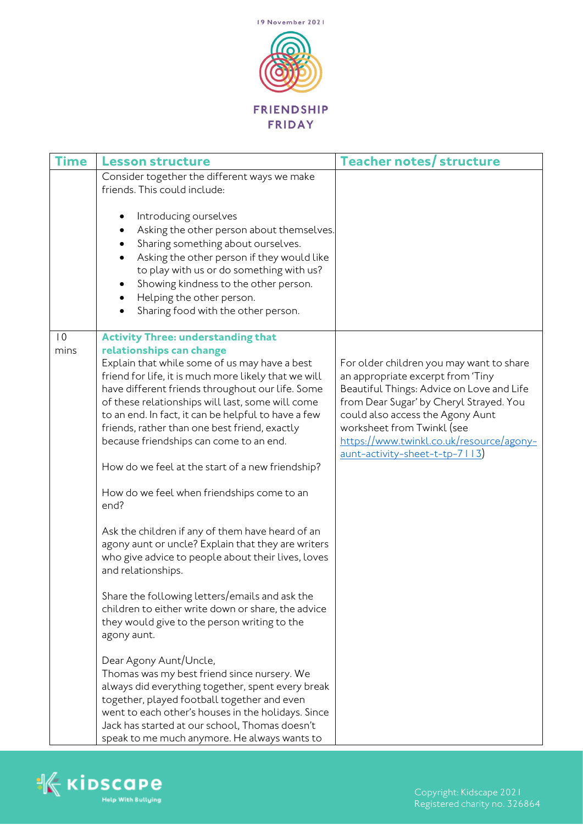

| Time                    | <b>Lesson structure</b>                                                                                                                                                                                                                                                                                                                                                                                                                                                                                                                                                                                                                                                                                                                                                                                                                                                                                                                                                                                                                                                                                                                                                                               | <b>Teacher notes/ structure</b>                                                                                                                                                                                                                                                                                       |
|-------------------------|-------------------------------------------------------------------------------------------------------------------------------------------------------------------------------------------------------------------------------------------------------------------------------------------------------------------------------------------------------------------------------------------------------------------------------------------------------------------------------------------------------------------------------------------------------------------------------------------------------------------------------------------------------------------------------------------------------------------------------------------------------------------------------------------------------------------------------------------------------------------------------------------------------------------------------------------------------------------------------------------------------------------------------------------------------------------------------------------------------------------------------------------------------------------------------------------------------|-----------------------------------------------------------------------------------------------------------------------------------------------------------------------------------------------------------------------------------------------------------------------------------------------------------------------|
|                         | Consider together the different ways we make<br>friends. This could include:                                                                                                                                                                                                                                                                                                                                                                                                                                                                                                                                                                                                                                                                                                                                                                                                                                                                                                                                                                                                                                                                                                                          |                                                                                                                                                                                                                                                                                                                       |
|                         | Introducing ourselves<br>Asking the other person about themselves.<br>٠<br>Sharing something about ourselves.<br>Asking the other person if they would like<br>to play with us or do something with us?<br>Showing kindness to the other person.<br>Helping the other person.<br>$\bullet$<br>Sharing food with the other person.                                                                                                                                                                                                                                                                                                                                                                                                                                                                                                                                                                                                                                                                                                                                                                                                                                                                     |                                                                                                                                                                                                                                                                                                                       |
| $\overline{10}$<br>mins | <b>Activity Three: understanding that</b><br>relationships can change<br>Explain that while some of us may have a best<br>friend for life, it is much more likely that we will<br>have different friends throughout our life. Some<br>of these relationships will last, some will come<br>to an end. In fact, it can be helpful to have a few<br>friends, rather than one best friend, exactly<br>because friendships can come to an end.<br>How do we feel at the start of a new friendship?<br>How do we feel when friendships come to an<br>end?<br>Ask the children if any of them have heard of an<br>agony aunt or uncle? Explain that they are writers<br>who give advice to people about their lives, loves<br>and relationships.<br>Share the following letters/emails and ask the<br>children to either write down or share, the advice<br>they would give to the person writing to the<br>agony aunt.<br>Dear Agony Aunt/Uncle,<br>Thomas was my best friend since nursery. We<br>always did everything together, spent every break<br>together, played football together and even<br>went to each other's houses in the holidays. Since<br>Jack has started at our school, Thomas doesn't | For older children you may want to share<br>an appropriate excerpt from 'Tiny<br>Beautiful Things: Advice on Love and Life<br>from Dear Sugar' by Cheryl Strayed. You<br>could also access the Agony Aunt<br>worksheet from Twinkl (see<br>https://www.twinkl.co.uk/resource/agony-<br>aunt-activity-sheet-t-tp-7113) |

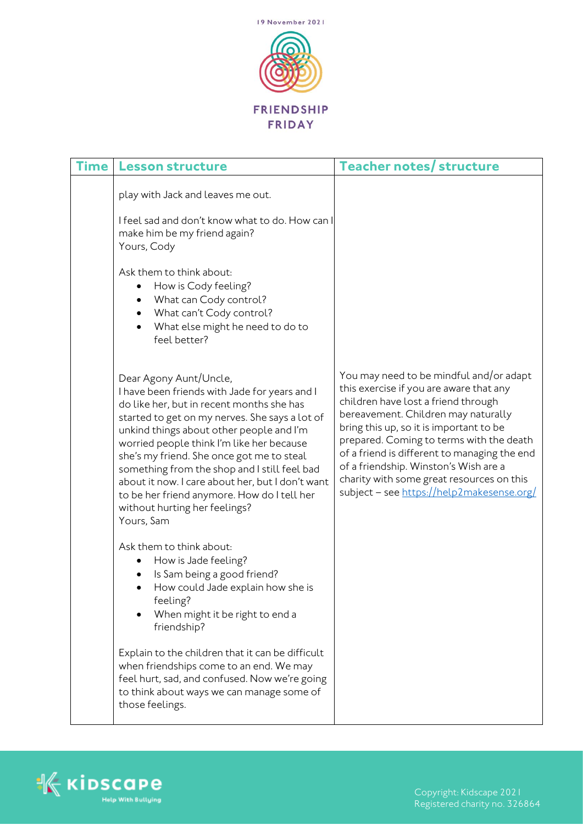

| <b>Time</b> | <b>Lesson structure</b>                                                                                                                                                                                                                                                                                                                                                                                                                                                                                        | <b>Teacher notes/ structure</b>                                                                                                                                                                                                                                                                                                                                                                                                            |
|-------------|----------------------------------------------------------------------------------------------------------------------------------------------------------------------------------------------------------------------------------------------------------------------------------------------------------------------------------------------------------------------------------------------------------------------------------------------------------------------------------------------------------------|--------------------------------------------------------------------------------------------------------------------------------------------------------------------------------------------------------------------------------------------------------------------------------------------------------------------------------------------------------------------------------------------------------------------------------------------|
|             | play with Jack and leaves me out.<br>I feel sad and don't know what to do. How can I<br>make him be my friend again?<br>Yours, Cody                                                                                                                                                                                                                                                                                                                                                                            |                                                                                                                                                                                                                                                                                                                                                                                                                                            |
|             | Ask them to think about:<br>How is Cody feeling?<br>What can Cody control?<br>What can't Cody control?<br>What else might he need to do to<br>feel better?                                                                                                                                                                                                                                                                                                                                                     |                                                                                                                                                                                                                                                                                                                                                                                                                                            |
|             | Dear Agony Aunt/Uncle,<br>I have been friends with Jade for years and I<br>do like her, but in recent months she has<br>started to get on my nerves. She says a lot of<br>unkind things about other people and I'm<br>worried people think I'm like her because<br>she's my friend. She once got me to steal<br>something from the shop and I still feel bad<br>about it now. I care about her, but I don't want<br>to be her friend anymore. How do I tell her<br>without hurting her feelings?<br>Yours, Sam | You may need to be mindful and/or adapt<br>this exercise if you are aware that any<br>children have lost a friend through<br>bereavement. Children may naturally<br>bring this up, so it is important to be<br>prepared. Coming to terms with the death<br>of a friend is different to managing the end<br>of a friendship. Winston's Wish are a<br>charity with some great resources on this<br>subject - see https://help2makesense.org/ |
|             | Ask them to think about:<br>How is Jade feeling?<br>Is Sam being a good friend?<br>How could Jade explain how she is<br>feeling?<br>When might it be right to end a<br>friendship?                                                                                                                                                                                                                                                                                                                             |                                                                                                                                                                                                                                                                                                                                                                                                                                            |
|             | Explain to the children that it can be difficult<br>when friendships come to an end. We may<br>feel hurt, sad, and confused. Now we're going<br>to think about ways we can manage some of<br>those feelings.                                                                                                                                                                                                                                                                                                   |                                                                                                                                                                                                                                                                                                                                                                                                                                            |



Registered charity no. 326864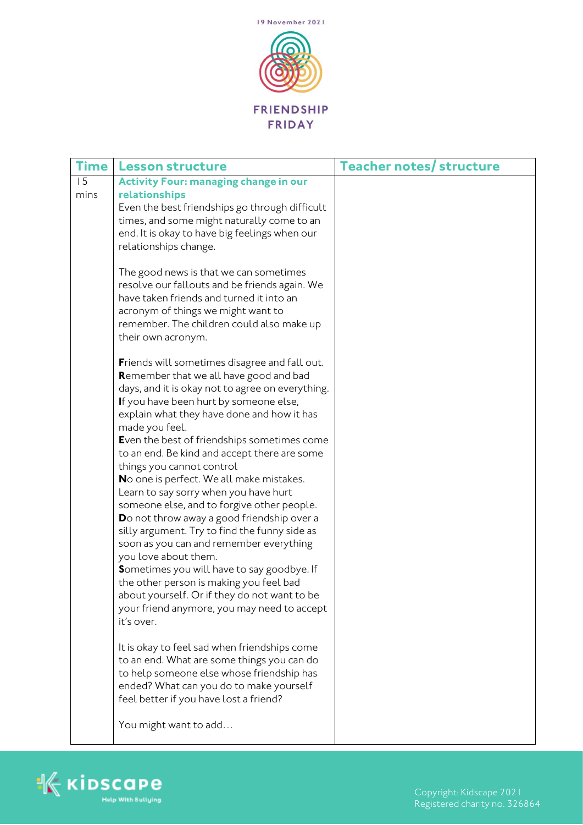

| <b>Time</b> | <b>Lesson structure</b>                                                                                                                                                                                                                                                                                                                                                                                                                                                                                                                                                                                                                                                                                                                                                                                                                                                                                                                                                                                                                                                                                                                                                                                                                                                                                                                                                   | <b>Teacher notes/ structure</b> |
|-------------|---------------------------------------------------------------------------------------------------------------------------------------------------------------------------------------------------------------------------------------------------------------------------------------------------------------------------------------------------------------------------------------------------------------------------------------------------------------------------------------------------------------------------------------------------------------------------------------------------------------------------------------------------------------------------------------------------------------------------------------------------------------------------------------------------------------------------------------------------------------------------------------------------------------------------------------------------------------------------------------------------------------------------------------------------------------------------------------------------------------------------------------------------------------------------------------------------------------------------------------------------------------------------------------------------------------------------------------------------------------------------|---------------------------------|
| 15<br>mins  | <b>Activity Four: managing change in our</b><br>relationships<br>Even the best friendships go through difficult<br>times, and some might naturally come to an<br>end. It is okay to have big feelings when our<br>relationships change.<br>The good news is that we can sometimes<br>resolve our fallouts and be friends again. We<br>have taken friends and turned it into an<br>acronym of things we might want to<br>remember. The children could also make up<br>their own acronym.<br>Friends will sometimes disagree and fall out.<br>Remember that we all have good and bad<br>days, and it is okay not to agree on everything.<br>If you have been hurt by someone else,<br>explain what they have done and how it has<br>made you feel.<br>Even the best of friendships sometimes come<br>to an end. Be kind and accept there are some<br>things you cannot control<br>No one is perfect. We all make mistakes.<br>Learn to say sorry when you have hurt<br>someone else, and to forgive other people.<br>Do not throw away a good friendship over a<br>silly argument. Try to find the funny side as<br>soon as you can and remember everything<br>you love about them.<br>Sometimes you will have to say goodbye. If<br>the other person is making you feel bad<br>about yourself. Or if they do not want to be<br>your friend anymore, you may need to accept |                                 |
|             | it's over.                                                                                                                                                                                                                                                                                                                                                                                                                                                                                                                                                                                                                                                                                                                                                                                                                                                                                                                                                                                                                                                                                                                                                                                                                                                                                                                                                                |                                 |
|             | It is okay to feel sad when friendships come<br>to an end. What are some things you can do<br>to help someone else whose friendship has<br>ended? What can you do to make yourself<br>feel better if you have lost a friend?                                                                                                                                                                                                                                                                                                                                                                                                                                                                                                                                                                                                                                                                                                                                                                                                                                                                                                                                                                                                                                                                                                                                              |                                 |
|             | You might want to add                                                                                                                                                                                                                                                                                                                                                                                                                                                                                                                                                                                                                                                                                                                                                                                                                                                                                                                                                                                                                                                                                                                                                                                                                                                                                                                                                     |                                 |



Registered charity no. 326864